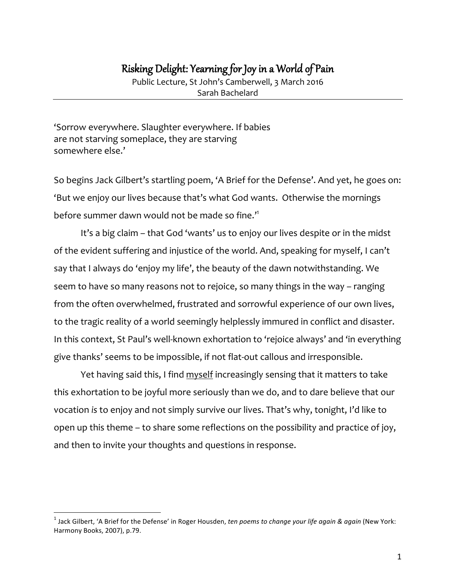# Risking Delight: Yearning for Joy in a World of Pain

Public Lecture, St John's Camberwell, 3 March 2016 Sarah Bachelard

'Sorrow everywhere. Slaughter everywhere. If babies are not starving someplace, they are starving somewhere else.'

So begins Jack Gilbert's startling poem, 'A Brief for the Defense'. And yet, he goes on: 'But we enjoy our lives because that's what God wants. Otherwise the mornings before summer dawn would not be made so fine.'<sup>1</sup>

It's a big claim – that God 'wants' us to enjoy our lives despite or in the midst of the evident suffering and injustice of the world. And, speaking for myself, I can't say that I always do 'enjoy my life', the beauty of the dawn notwithstanding. We seem to have so many reasons not to rejoice, so many things in the way – ranging from the often overwhelmed, frustrated and sorrowful experience of our own lives, to the tragic reality of a world seemingly helplessly immured in conflict and disaster. In this context, St Paul's well-known exhortation to 'rejoice always' and 'in everything give thanks' seems to be impossible, if not flat-out callous and irresponsible.

Yet having said this, I find myself increasingly sensing that it matters to take this exhortation to be joyful more seriously than we do, and to dare believe that our vocation *is* to enjoy and not simply survive our lives. That's why, tonight, I'd like to open up this theme – to share some reflections on the possibility and practice of joy, and then to invite your thoughts and questions in response.

 $<sup>1</sup>$  Jack Gilbert, 'A Brief for the Defense' in Roger Housden, *ten poems to change your life again* & *again* (New York:</sup> Harmony Books, 2007), p.79.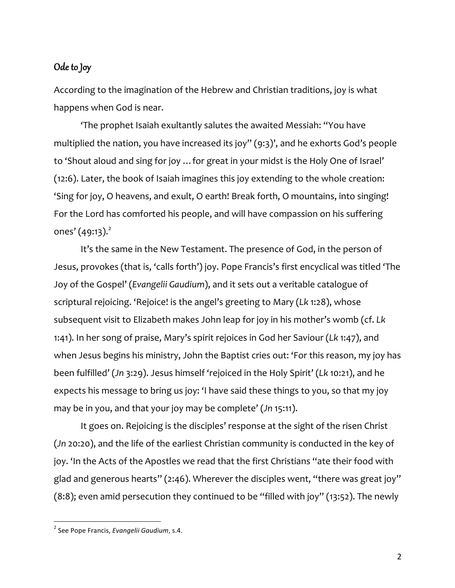## Ode to Joy

According to the imagination of the Hebrew and Christian traditions, joy is what happens when God is near.

'The prophet Isaiah exultantly salutes the awaited Messiah: "You have multiplied the nation, you have increased its joy" (9:3)', and he exhorts God's people to 'Shout aloud and sing for joy …for great in your midst is the Holy One of Israel' (12:6). Later, the book of Isaiah imagines this joy extending to the whole creation: 'Sing for joy, O heavens, and exult, O earth! Break forth, O mountains, into singing! For the Lord has comforted his people, and will have compassion on his suffering ones'  $(49:13).^{2}$ 

It's the same in the New Testament. The presence of God, in the person of Jesus, provokes (that is, 'calls forth') joy. Pope Francis's first encyclical was titled 'The Joy of the Gospel' (*Evangelii Gaudium*), and it sets out a veritable catalogue of scriptural rejoicing. 'Rejoice! is the angel's greeting to Mary (*Lk* 1:28), whose subsequent visit to Elizabeth makes John leap for joy in his mother's womb (cf. *Lk*  1:41). In her song of praise, Mary's spirit rejoices in God her Saviour (*Lk* 1:47), and when Jesus begins his ministry, John the Baptist cries out: 'For this reason, my joy has been fulfilled' (*Jn* 3:29). Jesus himself 'rejoiced in the Holy Spirit' (*Lk* 10:21), and he expects his message to bring us joy: 'I have said these things to you, so that my joy may be in you, and that your joy may be complete' (*Jn* 15:11).

It goes on. Rejoicing is the disciples' response at the sight of the risen Christ (*Jn* 20:20), and the life of the earliest Christian community is conducted in the key of joy. 'In the Acts of the Apostles we read that the first Christians "ate their food with glad and generous hearts" (2:46). Wherever the disciples went, "there was great joy"  $(8:8)$ ; even amid persecution they continued to be "filled with joy" (13:52). The newly

<sup>&</sup>lt;sup>2</sup> See Pope Francis, *Evangelii Gaudium*, s.4.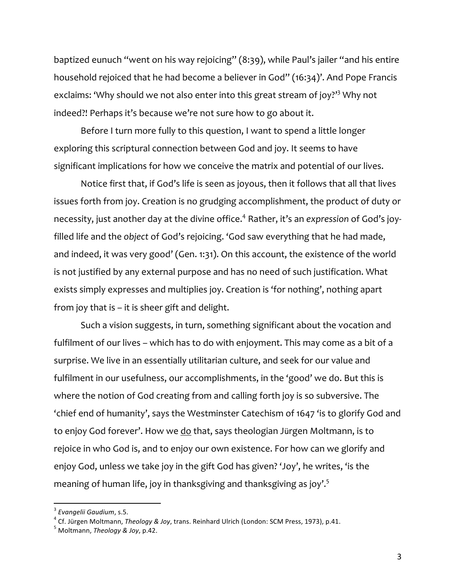baptized eunuch "went on his way rejoicing" (8:39), while Paul's jailer "and his entire household rejoiced that he had become a believer in God" (16:34)'. And Pope Francis exclaims: 'Why should we not also enter into this great stream of joy?'<sup>3</sup> Why not indeed?! Perhaps it's because we're not sure how to go about it.

Before I turn more fully to this question, I want to spend a little longer exploring this scriptural connection between God and joy. It seems to have significant implications for how we conceive the matrix and potential of our lives.

Notice first that, if God's life is seen as joyous, then it follows that all that lives issues forth from joy. Creation is no grudging accomplishment, the product of duty or necessity, just another day at the divine office.4 Rather, it's an *expression* of God's joyfilled life and the *object* of God's rejoicing. 'God saw everything that he had made, and indeed, it was very good' (Gen. 1:31). On this account, the existence of the world is not justified by any external purpose and has no need of such justification. What exists simply expresses and multiplies joy. Creation is 'for nothing', nothing apart from joy that is – it is sheer gift and delight.

Such a vision suggests, in turn, something significant about the vocation and fulfilment of our lives – which has to do with enjoyment. This may come as a bit of a surprise. We live in an essentially utilitarian culture, and seek for our value and fulfilment in our usefulness, our accomplishments, in the 'good' we do. But this is where the notion of God creating from and calling forth joy is so subversive. The 'chief end of humanity', says the Westminster Catechism of 1647 'is to glorify God and to enjoy God forever'. How we do that, says theologian Jürgen Moltmann, is to rejoice in who God is, and to enjoy our own existence. For how can we glorify and enjoy God, unless we take joy in the gift God has given? 'Joy', he writes, 'is the meaning of human life, joy in thanksgiving and thanksgiving as joy'.<sup>5</sup>

<sup>&</sup>lt;sup>3</sup> Evangelii Gaudium, s.5.<br><sup>4</sup> Cf. Jürgen Moltmann, *Theology & Joy,* trans. Reinhard Ulrich (London: SCM Press, 1973), p.41.<br><sup>5</sup> Moltmann, *Theology & Joy,* p.42.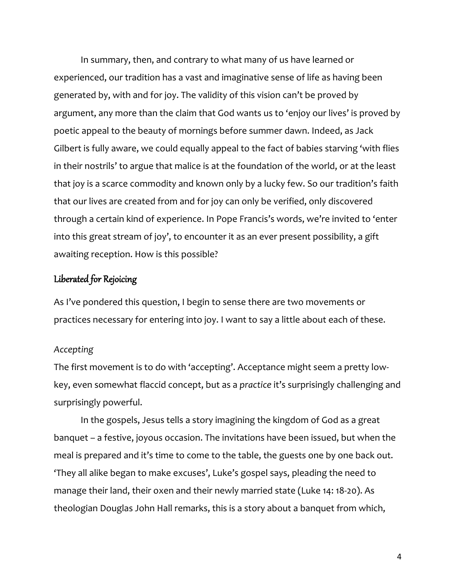In summary, then, and contrary to what many of us have learned or experienced, our tradition has a vast and imaginative sense of life as having been generated by, with and for joy. The validity of this vision can't be proved by argument, any more than the claim that God wants us to 'enjoy our lives' is proved by poetic appeal to the beauty of mornings before summer dawn. Indeed, as Jack Gilbert is fully aware, we could equally appeal to the fact of babies starving 'with flies in their nostrils' to argue that malice is at the foundation of the world, or at the least that joy is a scarce commodity and known only by a lucky few. So our tradition's faith that our lives are created from and for joy can only be verified, only discovered through a certain kind of experience. In Pope Francis's words, we're invited to 'enter into this great stream of joy', to encounter it as an ever present possibility, a gift awaiting reception. How is this possible?

# Liberated for Rejoicing

As I've pondered this question, I begin to sense there are two movements or practices necessary for entering into joy. I want to say a little about each of these.

#### *Accepting*

The first movement is to do with 'accepting'. Acceptance might seem a pretty lowkey, even somewhat flaccid concept, but as a *practice* it's surprisingly challenging and surprisingly powerful.

In the gospels, Jesus tells a story imagining the kingdom of God as a great banquet – a festive, joyous occasion. The invitations have been issued, but when the meal is prepared and it's time to come to the table, the guests one by one back out. 'They all alike began to make excuses', Luke's gospel says, pleading the need to manage their land, their oxen and their newly married state (Luke 14: 18-20). As theologian Douglas John Hall remarks, this is a story about a banquet from which,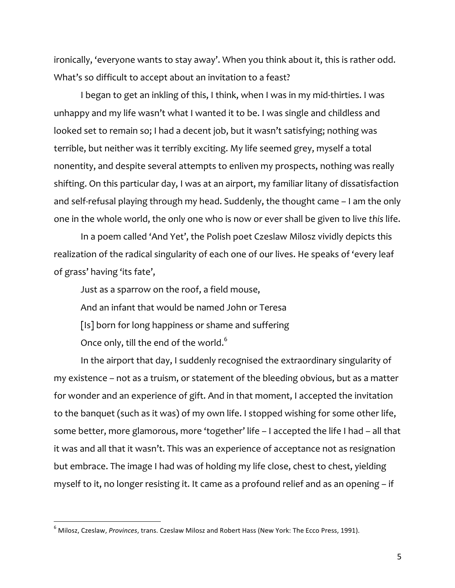ironically, 'everyone wants to stay away'. When you think about it, this is rather odd. What's so difficult to accept about an invitation to a feast?

I began to get an inkling of this, I think, when I was in my mid-thirties. I was unhappy and my life wasn't what I wanted it to be. I was single and childless and looked set to remain so; I had a decent job, but it wasn't satisfying; nothing was terrible, but neither was it terribly exciting. My life seemed grey, myself a total nonentity, and despite several attempts to enliven my prospects, nothing was really shifting. On this particular day, I was at an airport, my familiar litany of dissatisfaction and self-refusal playing through my head. Suddenly, the thought came – I am the only one in the whole world, the only one who is now or ever shall be given to live *this* life.

In a poem called 'And Yet', the Polish poet Czeslaw Milosz vividly depicts this realization of the radical singularity of each one of our lives. He speaks of 'every leaf of grass' having 'its fate',

Just as a sparrow on the roof, a field mouse,

And an infant that would be named John or Teresa

[Is] born for long happiness or shame and suffering

Once only, till the end of the world. $^6$ 

In the airport that day, I suddenly recognised the extraordinary singularity of my existence – not as a truism, or statement of the bleeding obvious, but as a matter for wonder and an experience of gift. And in that moment, I accepted the invitation to the banquet (such as it was) of my own life. I stopped wishing for some other life, some better, more glamorous, more 'together' life – I accepted the life I had – all that it was and all that it wasn't. This was an experience of acceptance not as resignation but embrace. The image I had was of holding my life close, chest to chest, yielding myself to it, no longer resisting it. It came as a profound relief and as an opening – if

<sup>&</sup>lt;sup>6</sup> Milosz, Czeslaw, *Provinces*, trans. Czeslaw Milosz and Robert Hass (New York: The Ecco Press, 1991).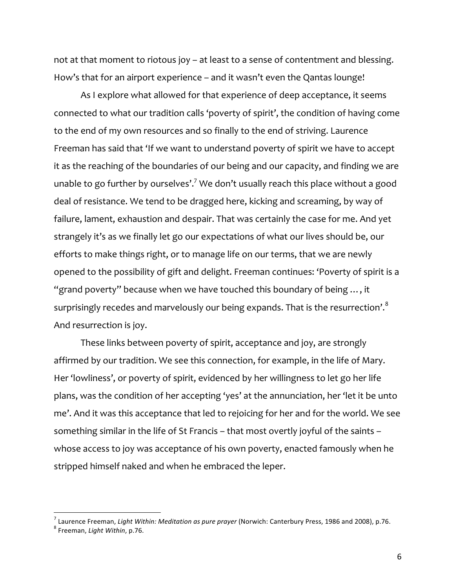not at that moment to riotous joy – at least to a sense of contentment and blessing. How's that for an airport experience – and it wasn't even the Qantas lounge!

As I explore what allowed for that experience of deep acceptance, it seems connected to what our tradition calls 'poverty of spirit', the condition of having come to the end of my own resources and so finally to the end of striving. Laurence Freeman has said that 'If we want to understand poverty of spirit we have to accept it as the reaching of the boundaries of our being and our capacity, and finding we are unable to go further by ourselves'.<sup>7</sup> We don't usually reach this place without a good deal of resistance. We tend to be dragged here, kicking and screaming, by way of failure, lament, exhaustion and despair. That was certainly the case for me. And yet strangely it's as we finally let go our expectations of what our lives should be, our efforts to make things right, or to manage life on our terms, that we are newly opened to the possibility of gift and delight. Freeman continues: 'Poverty of spirit is a "grand poverty" because when we have touched this boundary of being …, it surprisingly recedes and marvelously our being expands. That is the resurrection'.<sup>8</sup> And resurrection is joy.

These links between poverty of spirit, acceptance and joy, are strongly affirmed by our tradition. We see this connection, for example, in the life of Mary. Her 'lowliness', or poverty of spirit, evidenced by her willingness to let go her life plans, was the condition of her accepting 'yes' at the annunciation, her 'let it be unto me'. And it was this acceptance that led to rejoicing for her and for the world. We see something similar in the life of St Francis – that most overtly joyful of the saints – whose access to joy was acceptance of his own poverty, enacted famously when he stripped himself naked and when he embraced the leper.

<sup>&</sup>lt;sup>7</sup> Laurence Freeman, *Light Within: Meditation as pure prayer* (Norwich: Canterbury Press, 1986 and 2008), p.76.<br><sup>8</sup> Freeman. *Liaht Within*, p.76.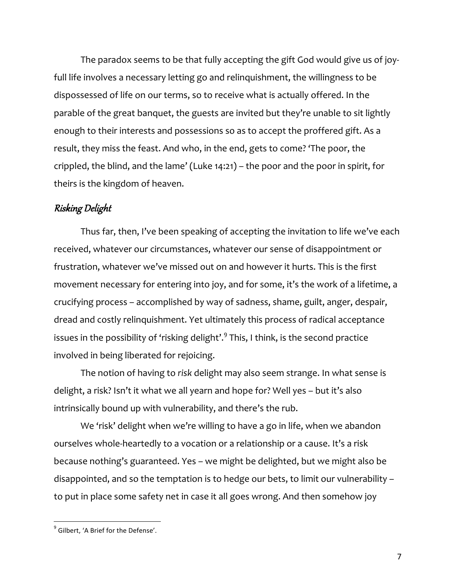The paradox seems to be that fully accepting the gift God would give us of joyfull life involves a necessary letting go and relinquishment, the willingness to be dispossessed of life on our terms, so to receive what is actually offered. In the parable of the great banquet, the guests are invited but they're unable to sit lightly enough to their interests and possessions so as to accept the proffered gift. As a result, they miss the feast. And who, in the end, gets to come? 'The poor, the crippled, the blind, and the lame' (Luke 14:21) – the poor and the poor in spirit, for theirs is the kingdom of heaven.

## Risking Delight

Thus far, then, I've been speaking of accepting the invitation to life we've each received, whatever our circumstances, whatever our sense of disappointment or frustration, whatever we've missed out on and however it hurts. This is the first movement necessary for entering into joy, and for some, it's the work of a lifetime, a crucifying process – accomplished by way of sadness, shame, guilt, anger, despair, dread and costly relinquishment. Yet ultimately this process of radical acceptance issues in the possibility of 'risking delight'. $9$  This, I think, is the second practice involved in being liberated for rejoicing.

The notion of having to *risk* delight may also seem strange. In what sense is delight, a risk? Isn't it what we all yearn and hope for? Well yes – but it's also intrinsically bound up with vulnerability, and there's the rub.

We 'risk' delight when we're willing to have a go in life, when we abandon ourselves whole-heartedly to a vocation or a relationship or a cause. It's a risk because nothing's guaranteed. Yes – we might be delighted, but we might also be disappointed, and so the temptation is to hedge our bets, to limit our vulnerability – to put in place some safety net in case it all goes wrong. And then somehow joy

 $<sup>9</sup>$  Gilbert. 'A Brief for the Defense'.</sup>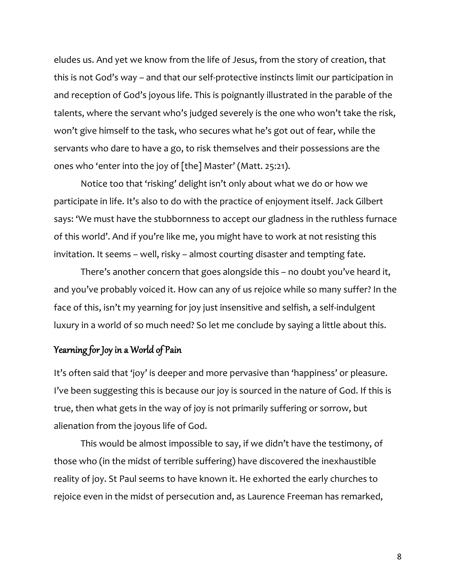eludes us. And yet we know from the life of Jesus, from the story of creation, that this is not God's way – and that our self-protective instincts limit our participation in and reception of God's joyous life. This is poignantly illustrated in the parable of the talents, where the servant who's judged severely is the one who won't take the risk, won't give himself to the task, who secures what he's got out of fear, while the servants who dare to have a go, to risk themselves and their possessions are the ones who 'enter into the joy of [the] Master' (Matt. 25:21).

Notice too that 'risking' delight isn't only about what we do or how we participate in life. It's also to do with the practice of enjoyment itself. Jack Gilbert says: 'We must have the stubbornness to accept our gladness in the ruthless furnace of this world'. And if you're like me, you might have to work at not resisting this invitation. It seems – well, risky – almost courting disaster and tempting fate.

There's another concern that goes alongside this – no doubt you've heard it, and you've probably voiced it. How can any of us rejoice while so many suffer? In the face of this, isn't my yearning for joy just insensitive and selfish, a self-indulgent luxury in a world of so much need? So let me conclude by saying a little about this.

## Yearning for Joy in a World of Pain

It's often said that 'joy' is deeper and more pervasive than 'happiness' or pleasure. I've been suggesting this is because our joy is sourced in the nature of God. If this is true, then what gets in the way of joy is not primarily suffering or sorrow, but alienation from the joyous life of God.

This would be almost impossible to say, if we didn't have the testimony, of those who (in the midst of terrible suffering) have discovered the inexhaustible reality of joy. St Paul seems to have known it. He exhorted the early churches to rejoice even in the midst of persecution and, as Laurence Freeman has remarked,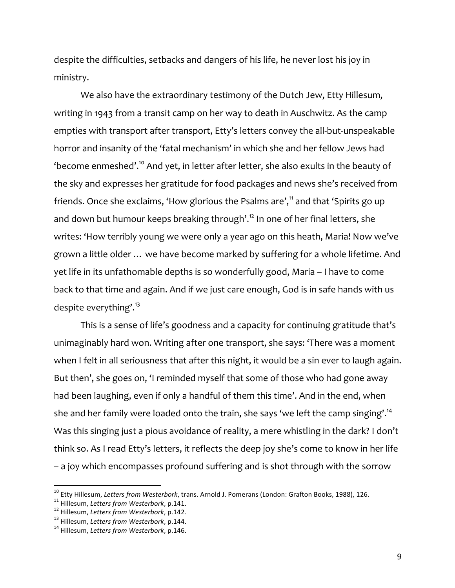despite the difficulties, setbacks and dangers of his life, he never lost his joy in ministry.

We also have the extraordinary testimony of the Dutch Jew, Etty Hillesum, writing in 1943 from a transit camp on her way to death in Auschwitz. As the camp empties with transport after transport, Etty's letters convey the all-but-unspeakable horror and insanity of the 'fatal mechanism' in which she and her fellow Jews had 'become enmeshed'.10 And yet, in letter after letter, she also exults in the beauty of the sky and expresses her gratitude for food packages and news she's received from friends. Once she exclaims, 'How glorious the Psalms are',<sup>11</sup> and that 'Spirits go up and down but humour keeps breaking through'.<sup>12</sup> In one of her final letters, she writes: 'How terribly young we were only a year ago on this heath, Maria! Now we've grown a little older … we have become marked by suffering for a whole lifetime. And yet life in its unfathomable depths is so wonderfully good, Maria – I have to come back to that time and again. And if we just care enough, God is in safe hands with us despite everything'.<sup>13</sup>

This is a sense of life's goodness and a capacity for continuing gratitude that's unimaginably hard won. Writing after one transport, she says: 'There was a moment when I felt in all seriousness that after this night, it would be a sin ever to laugh again. But then', she goes on, 'I reminded myself that some of those who had gone away had been laughing, even if only a handful of them this time'. And in the end, when she and her family were loaded onto the train, she says 'we left the camp singing'.<sup>14</sup> Was this singing just a pious avoidance of reality, a mere whistling in the dark? I don't think so. As I read Etty's letters, it reflects the deep joy she's come to know in her life – a joy which encompasses profound suffering and is shot through with the sorrow

<sup>&</sup>lt;sup>10</sup> Etty Hillesum, *Letters from Westerbork*, trans. Arnold J. Pomerans (London: Grafton Books, 1988), 126.<br><sup>11</sup> Hillesum, *Letters from Westerbork*, p.141.<br><sup>12</sup> Hillesum, *Letters from Westerbork*, p.142.<br><sup>13</sup> Hillesum,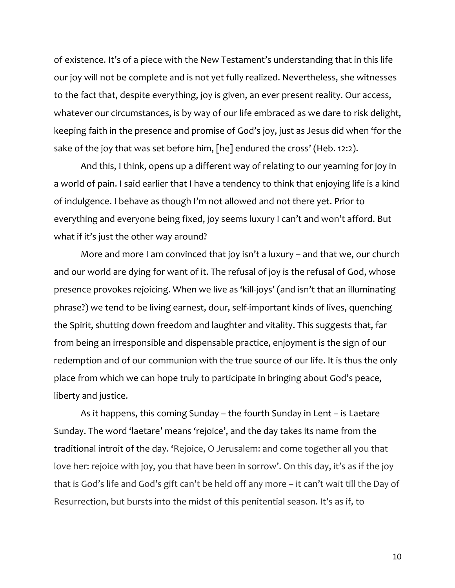of existence. It's of a piece with the New Testament's understanding that in this life our joy will not be complete and is not yet fully realized. Nevertheless, she witnesses to the fact that, despite everything, joy is given, an ever present reality. Our access, whatever our circumstances, is by way of our life embraced as we dare to risk delight, keeping faith in the presence and promise of God's joy, just as Jesus did when 'for the sake of the joy that was set before him, [he] endured the cross' (Heb. 12:2).

And this, I think, opens up a different way of relating to our yearning for joy in a world of pain. I said earlier that I have a tendency to think that enjoying life is a kind of indulgence. I behave as though I'm not allowed and not there yet. Prior to everything and everyone being fixed, joy seems luxury I can't and won't afford. But what if it's just the other way around?

More and more I am convinced that joy isn't a luxury – and that we, our church and our world are dying for want of it. The refusal of joy is the refusal of God, whose presence provokes rejoicing. When we live as 'kill-joys' (and isn't that an illuminating phrase?) we tend to be living earnest, dour, self-important kinds of lives, quenching the Spirit, shutting down freedom and laughter and vitality. This suggests that, far from being an irresponsible and dispensable practice, enjoyment is the sign of our redemption and of our communion with the true source of our life. It is thus the only place from which we can hope truly to participate in bringing about God's peace, liberty and justice.

As it happens, this coming Sunday – the fourth Sunday in Lent – is Laetare Sunday. The word 'laetare' means 'rejoice', and the day takes its name from the traditional introit of the day. 'Rejoice, O Jerusalem: and come together all you that love her: rejoice with joy, you that have been in sorrow'. On this day, it's as if the joy that is God's life and God's gift can't be held off any more – it can't wait till the Day of Resurrection, but bursts into the midst of this penitential season. It's as if, to

10